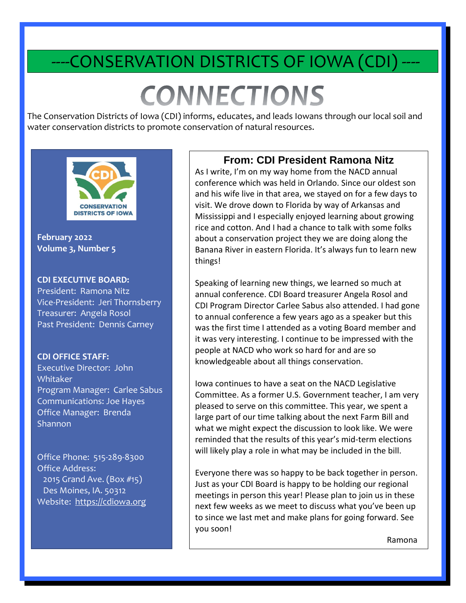# -CONSERVATION DISTRICTS OF IOWA (CDI)

# **CONNECTIONS**

The Conservation Districts of Iowa (CDI) informs, educates, and leads Iowans through our local soil and water conservation districts to promote conservation of natural resources.

İ



**February 2022 Volume 3, Number 5**

#### **CDI EXECUTIVE BOARD:**

President: Ramona Nitz Vice-President: Jeri Thornsberry Treasurer: Angela Rosol Past President: Dennis Carney

#### **CDI OFFICE STAFF:**

Executive Director: John Whitaker Program Manager: Carlee Sabus Communications: Joe Hayes Office Manager: Brenda **Shannon** 

Office Phone: 515-289-8300 Office Address: 2015 Grand Ave. (Box #15) Des Moines, IA. 50312 Website: [https://cdiowa.org](https://cdiowa.org/)

#### **From: CDI President Ramona Nitz**

As I write, I'm on my way home from the NACD annual conference which was held in Orlando. Since our oldest son and his wife live in that area, we stayed on for a few days to visit. We drove down to Florida by way of Arkansas and Mississippi and I especially enjoyed learning about growing rice and cotton. And I had a chance to talk with some folks about a conservation project they we are doing along the Banana River in eastern Florida. It's always fun to learn new things!

Speaking of learning new things, we learned so much at annual conference. CDI Board treasurer Angela Rosol and CDI Program Director Carlee Sabus also attended. I had gone to annual conference a few years ago as a speaker but this was the first time I attended as a voting Board member and it was very interesting. I continue to be impressed with the people at NACD who work so hard for and are so knowledgeable about all things conservation.

Iowa continues to have a seat on the NACD Legislative Committee. As a former U.S. Government teacher, I am very pleased to serve on this committee. This year, we spent a large part of our time talking about the next Farm Bill and what we might expect the discussion to look like. We were reminded that the results of this year's mid-term elections will likely play a role in what may be included in the bill.

Everyone there was so happy to be back together in person. Just as your CDI Board is happy to be holding our regional meetings in person this year! Please plan to join us in these next few weeks as we meet to discuss what you've been up to since we last met and make plans for going forward. See you soon!

Ramona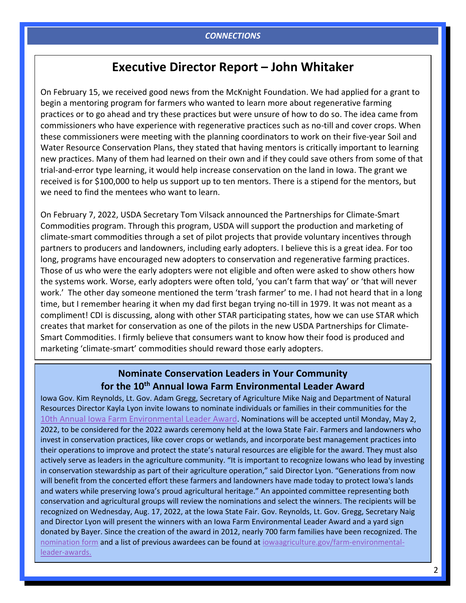### **Executive Director Report – John Whitaker**

On February 15, we received good news from the McKnight Foundation. We had applied for a grant to begin a mentoring program for farmers who wanted to learn more about regenerative farming practices or to go ahead and try these practices but were unsure of how to do so. The idea came from commissioners who have experience with regenerative practices such as no-till and cover crops. When these commissioners were meeting with the planning coordinators to work on their five-year Soil and Water Resource Conservation Plans, they stated that having mentors is critically important to learning new practices. Many of them had learned on their own and if they could save others from some of that trial-and-error type learning, it would help increase conservation on the land in Iowa. The grant we received is for \$100,000 to help us support up to ten mentors. There is a stipend for the mentors, but we need to find the mentees who want to learn.

On February 7, 2022, USDA Secretary Tom Vilsack announced the Partnerships for Climate-Smart Commodities program. Through this program, USDA will support the production and marketing of climate-smart commodities through a set of pilot projects that provide voluntary incentives through partners to producers and landowners, including early adopters. I believe this is a great idea. For too long, programs have encouraged new adopters to conservation and regenerative farming practices. Those of us who were the early adopters were not eligible and often were asked to show others how the systems work. Worse, early adopters were often told, 'you can't farm that way' or 'that will never work.' The other day someone mentioned the term 'trash farmer' to me. I had not heard that in a long time, but I remember hearing it when my dad first began trying no-till in 1979. It was not meant as a compliment! CDI is discussing, along with other STAR participating states, how we can use STAR which creates that market for conservation as one of the pilots in the new USDA Partnerships for Climate-Smart Commodities. I firmly believe that consumers want to know how their food is produced and marketing 'climate-smart' commodities should reward those early adopters.

#### **Nominate Conservation Leaders in Your Community for the 10th Annual Iowa Farm Environmental Leader Award**

Iowa Gov. Kim Reynolds, Lt. Gov. Adam Gregg, Secretary of Agriculture Mike Naig and Department of Natural Resources Director Kayla Lyon invite Iowans to nominate individuals or families in their communities for the [10th Annual Iowa Farm Environmental Leader Award](https://iowaagriculture.gov/farm-environmental-leader-awards). Nominations will be accepted until Monday, May 2, 2022, to be considered for the 2022 awards ceremony held at the Iowa State Fair. Farmers and landowners who invest in conservation practices, like cover crops or wetlands, and incorporate best management practices into their operations to improve and protect the state's natural resources are eligible for the award. They must also actively serve as leaders in the agriculture community. "It is important to recognize Iowans who lead by investing in conservation stewardship as part of their agriculture operation," said Director Lyon. "Generations from now will benefit from the concerted effort these farmers and landowners have made today to protect Iowa's lands and waters while preserving Iowa's proud agricultural heritage." An appointed committee representing both conservation and agricultural groups will review the nominations and select the winners. The recipients will be recognized on Wednesday, Aug. 17, 2022, at the Iowa State Fair. Gov. Reynolds, Lt. Gov. Gregg, Secretary Naig and Director Lyon will present the winners with an Iowa Farm Environmental Leader Award and a yard sign donated by Bayer. Since the creation of the award in 2012, nearly 700 farm families have been recognized. The [nomination form](https://u7061146.ct.sendgrid.net/ls/click?upn=4tNED-2FM8iDZJQyQ53jATUUBTkok76kKbbbS-2FgIUcG9Nb-2BNamDrG0gJvhGhibp5c9kz3p_BgcPkGyDfxsllo34OfR6UdCHQ3Q8puimCWeGpnVIsKBE2WZfzu56-2BttBo6zeaZtEC6ZRbYd4SEdceJ0Mmrs6A5loLE4xhOolNaCWaKnWNkZNH9-2FanOgKwyq1L7JkQUbGwVREpjNmR5AKUB3Wpt4JXgAZslN3Nma5n2On9kSRFC6Tj2JqXJL141TCriGwBBiIR7Kd0RCP9OXo2bPud3-2FFdPlYnP7aTZx6a-2FVoqslzFB8hAbs9lJMt2qjpWH5Smif7gC-2F0AG8tcI92cz61sR71UFsZG3vsulLS1N3YfUtbf-2BI4z6HheWD4y6c3hpwkMbw8bOohmdJhsBaFyDIT8f3Yol68x4Yu41E0PSpFnA3GInk-3D) and a list of previous awardees can be found at [iowaagriculture.gov/farm-environmental](https://u7061146.ct.sendgrid.net/ls/click?upn=4tNED-2FM8iDZJQyQ53jATUR3n-2BNRoag1GekQUXfZNyTcfS-2FW2rtDP9vMjpBRzkEWhSW-2B0e6gh7ht0qQpJKgTEZ1tLNbKfA9wJvRHYOT0CPg4-3D0qsA_BgcPkGyDfxsllo34OfR6UdCHQ3Q8puimCWeGpnVIsKBE2WZfzu56-2BttBo6zeaZtEC6ZRbYd4SEdceJ0Mmrs6A5loLE4xhOolNaCWaKnWNkZNH9-2FanOgKwyq1L7JkQUbGwVREpjNmR5AKUB3Wpt4JXgAZslN3Nma5n2On9kSRFC6Tj2JqXJL141TCriGwBBiIR7Kd0RCP9OXo2bPud3-2FFdEuQsgsxNqYyLHSs-2BwXEh-2FV0QTxIwcdnrF3oK5CUQY-2BwA38Vdz2wXu8Tx7hnsWM22MsuXAxgMtVfIXj8fh-2BJcxlX3K-2Fz1hD7aHpfZM6WWrx-2F7TreuHpcis4WC8iWojFTtMRuAxt3PhrpyCE8Zq-2FDLG8-3D)[leader-awards.](https://u7061146.ct.sendgrid.net/ls/click?upn=4tNED-2FM8iDZJQyQ53jATUR3n-2BNRoag1GekQUXfZNyTcfS-2FW2rtDP9vMjpBRzkEWhSW-2B0e6gh7ht0qQpJKgTEZ1tLNbKfA9wJvRHYOT0CPg4-3D0qsA_BgcPkGyDfxsllo34OfR6UdCHQ3Q8puimCWeGpnVIsKBE2WZfzu56-2BttBo6zeaZtEC6ZRbYd4SEdceJ0Mmrs6A5loLE4xhOolNaCWaKnWNkZNH9-2FanOgKwyq1L7JkQUbGwVREpjNmR5AKUB3Wpt4JXgAZslN3Nma5n2On9kSRFC6Tj2JqXJL141TCriGwBBiIR7Kd0RCP9OXo2bPud3-2FFdEuQsgsxNqYyLHSs-2BwXEh-2FV0QTxIwcdnrF3oK5CUQY-2BwA38Vdz2wXu8Tx7hnsWM22MsuXAxgMtVfIXj8fh-2BJcxlX3K-2Fz1hD7aHpfZM6WWrx-2F7TreuHpcis4WC8iWojFTtMRuAxt3PhrpyCE8Zq-2FDLG8-3D)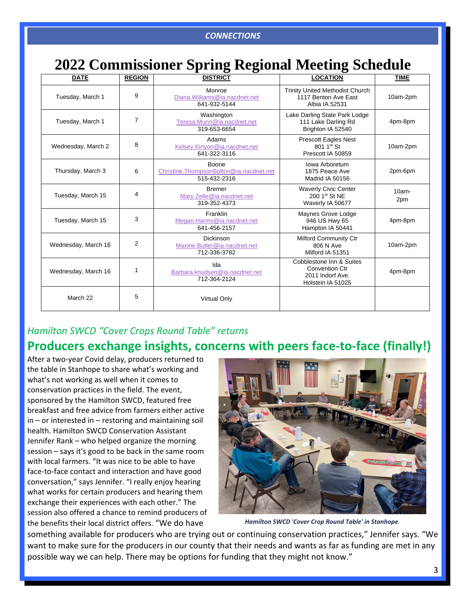# **2022 Commissioner Spring Regional Meeting Schedule**

| <b>DATE</b>         | <b>REGION</b>  | <b>DISTRICT</b>                                                  | <b>LOCATION</b>                                                                            | <b>TIME</b>     |
|---------------------|----------------|------------------------------------------------------------------|--------------------------------------------------------------------------------------------|-----------------|
| Tuesday, March 1    | 9              | Monroe<br>Diana. Williams@ia.nacdnet.net<br>641-932-5144         | <b>Trinity United Methodist Church</b><br>1117 Benton Ave East<br>Albia IA 52531           | 10am-2pm        |
| Tuesday, March 1    | $\overline{7}$ | Washington<br>Teresa.Munn@ia.nacdnet.net<br>319-653-6654         | Lake Darling State Park Lodge<br>111 Lake Darling Rd<br>Brighton IA 52540                  | 4pm-8pm         |
| Wednesday, March 2  | 8              | Adams<br>Kelsey.Kinyon@ia.nacdnet.net<br>641-322-3116            | <b>Prescott Eagles Nest</b><br>801 1st St<br>Prescott IA 50859                             | 10am-2pm        |
| Thursday, March 3   | 6              | Boone<br>Christine.ThompsonBolton@ia.nacdnet.net<br>515-432-2316 | Iowa Arboretum<br>1875 Peace Ave<br>Madrid IA 50156                                        | 2pm-6pm         |
| Tuesday, March 15   | 4              | <b>Bremer</b><br>Mary.Zelle@ia.nacdnet.net<br>319-352-4373       | <b>Waverly Civic Center</b><br>200 1st St NE<br>Waverly IA 50677                           | $10am -$<br>2pm |
| Tuesday, March 15   | 3              | Franklin<br>Megan.Harms@ia.nacdnet.net<br>641-456-2157           | Maynes Grove Lodge<br>946 US Hwy 65<br>Hampton IA 50441                                    | 4pm-8pm         |
| Wednesday, March 16 | $\overline{2}$ | Dickinson<br>Maxine.Butler@ia.nacdnet.net<br>712-336-3782        | Milford Community Ctr<br>806 N Ave<br>Milford IA 51351                                     | 10am-2pm        |
| Wednesday, March 16 | 1              | Ida<br>Barbara.knudsen@ia.nacdnet.net<br>712-364-2124            | Cobblestone Inn & Suites<br><b>Convention Ctr</b><br>2011 Indorf Ave.<br>Holstein IA 51025 | 4pm-8pm         |
| March 22            | 5              | <b>Virtual Only</b>                                              |                                                                                            |                 |

#### *Hamilton SWCD "Cover Crops Round Table" returns*

# **Producers exchange insights, concerns with peers face-to-face (finally!)**

After a two-year Covid delay, producers returned to the table in Stanhope to share what's working and what's not working as well when it comes to conservation practices in the field. The event, sponsored by the Hamilton SWCD, featured free breakfast and free advice from farmers either active in – or interested in – restoring and maintaining soil health. Hamilton SWCD Conservation Assistant Jennifer Rank – who helped organize the morning session – says it's good to be back in the same room with local farmers. "It was nice to be able to have face-to-face contact and interaction and have good conversation," says Jennifer. "I really enjoy hearing what works for certain producers and hearing them exchange their experiences with each other." The session also offered a chance to remind producers of the benefits their local district offers. "We do have



*Hamilton SWCD 'Cover Crop Round Table' in Stanhope.*

something available for producers who are trying out or continuing conservation practices," Jennifer says. "We want to make sure for the producers in our county that their needs and wants as far as funding are met in any possible way we can help. There may be options for funding that they might not know."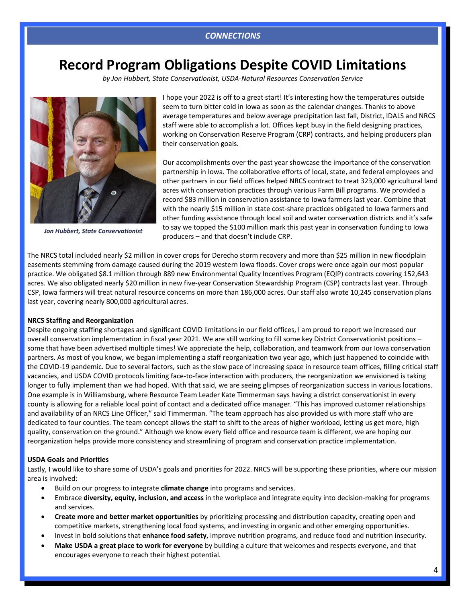# **Record Program Obligations Despite COVID Limitations**

*by Jon Hubbert, State Conservationist, USDA-Natural Resources Conservation Service*



*Jon Hubbert, State Conservationist*

I hope your 2022 is off to a great start! It's interesting how the temperatures outside seem to turn bitter cold in Iowa as soon as the calendar changes. Thanks to above average temperatures and below average precipitation last fall, District, IDALS and NRCS staff were able to accomplish a lot. Offices kept busy in the field designing practices, working on Conservation Reserve Program (CRP) contracts, and helping producers plan their conservation goals.

Our accomplishments over the past year showcase the importance of the conservation partnership in Iowa. The collaborative efforts of local, state, and federal employees and other partners in our field offices helped NRCS contract to treat 323,000 agricultural land acres with conservation practices through various Farm Bill programs. We provided a record \$83 million in conservation assistance to Iowa farmers last year. Combine that with the nearly \$15 million in state cost-share practices obligated to Iowa farmers and other funding assistance through local soil and water conservation districts and it's safe to say we topped the \$100 million mark this past year in conservation funding to Iowa producers – and that doesn't include CRP.

The NRCS total included nearly \$2 million in cover crops for Derecho storm recovery and more than \$25 million in new floodplain easements stemming from damage caused during the 2019 western Iowa floods. Cover crops were once again our most popular practice. We obligated \$8.1 million through 889 new Environmental Quality Incentives Program (EQIP) contracts covering 152,643 acres. We also obligated nearly \$20 million in new five-year Conservation Stewardship Program (CSP) contracts last year. Through CSP, Iowa farmers will treat natural resource concerns on more than 186,000 acres. Our staff also wrote 10,245 conservation plans last year, covering nearly 800,000 agricultural acres.

#### **NRCS Staffing and Reorganization**

Despite ongoing staffing shortages and significant COVID limitations in our field offices, I am proud to report we increased our overall conservation implementation in fiscal year 2021. We are still working to fill some key District Conservationist positions – some that have been advertised multiple times! We appreciate the help, collaboration, and teamwork from our Iowa conservation partners. As most of you know, we began implementing a staff reorganization two year ago, which just happened to coincide with the COVID-19 pandemic. Due to several factors, such as the slow pace of increasing space in resource team offices, filling critical staff vacancies, and USDA COVID protocols limiting face-to-face interaction with producers, the reorganization we envisioned is taking longer to fully implement than we had hoped. With that said, we are seeing glimpses of reorganization success in various locations. One example is in Williamsburg, where Resource Team Leader Kate Timmerman says having a district conservationist in every county is allowing for a reliable local point of contact and a dedicated office manager. "This has improved customer relationships and availability of an NRCS Line Officer," said Timmerman. "The team approach has also provided us with more staff who are dedicated to four counties. The team concept allows the staff to shift to the areas of higher workload, letting us get more, high quality, conservation on the ground." Although we know every field office and resource team is different, we are hoping our reorganization helps provide more consistency and streamlining of program and conservation practice implementation.

#### **USDA Goals and Priorities**

Lastly, I would like to share some of USDA's goals and priorities for 2022. NRCS will be supporting these priorities, where our mission area is involved:

- Build on our progress to integrate **climate change** into programs and services.
- Embrace **diversity, equity, inclusion, and access** in the workplace and integrate equity into decision-making for programs and services.
- **Create more and better market opportunities** by prioritizing processing and distribution capacity, creating open and competitive markets, strengthening local food systems, and investing in organic and other emerging opportunities.
- Invest in bold solutions that **enhance food safety**, improve nutrition programs, and reduce food and nutrition insecurity.
- **Make USDA a great place to work for everyone** by building a culture that welcomes and respects everyone, and that encourages everyone to reach their highest potential.